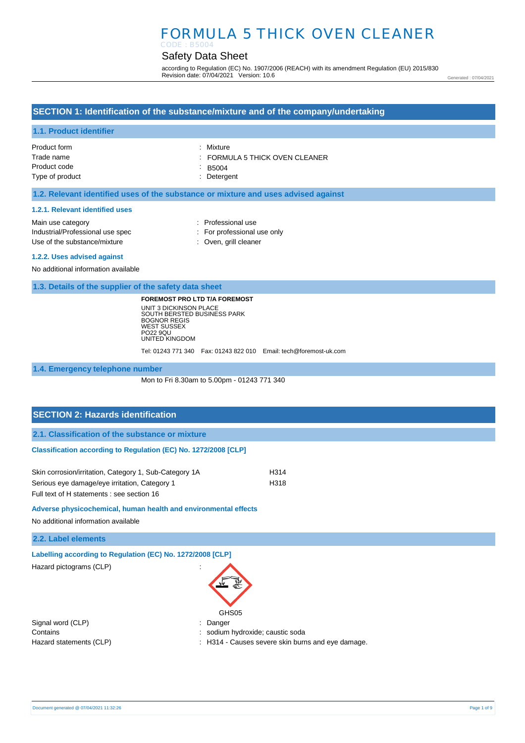# FORMULA 5 THICK OVEN CLEANER

# Safety Data Sheet

according to Regulation (EC) No. 1907/2006 (REACH) with its amendment Regulation (EU) 2015/830 Revision date: 07/04/2021 Version: 10.6

Generated : 07/04/2021

### **SECTION 1: Identification of the substance/mixture and of the company/undertaking**

#### **1.1. Product identifier**

| Product form    | : Mixture                                 |
|-----------------|-------------------------------------------|
| Trade name      | $\therefore$ FORMULA 5 THICK OVEN CLEANER |
| Product code    | $-B5004$                                  |
| Type of product | : Detergent                               |

### **1.2. Relevant identified uses of the substance or mixture and uses advised against**

#### **1.2.1. Relevant identified uses**

| Main use category                |
|----------------------------------|
| Industrial/Professional use spec |
| Use of the substance/mixture     |

- : Professional use : For professional use only
- : Oven, grill cleaner

**1.2.2. Uses advised against** 

No additional information available

**1.3. Details of the supplier of the safety data sheet**

**FOREMOST PRO LTD T/A FOREMOST** UNIT 3 DICKINSON PLACE SOUTH BERSTED BUSINESS PARK BOGNOR REGIS WEST SUSSEX PO22 9QU UNITED KINGDOM

Tel: 01243 771 340 Fax: 01243 822 010 Email: tech@foremost-uk.com

**1.4. Emergency telephone number**

Mon to Fri 8.30am to 5.00pm - 01243 771 340

# **SECTION 2: Hazards identification 2.1. Classification of the substance or mixture Classification according to Regulation (EC) No. 1272/2008 [CLP]** Skin corrosion/irritation, Category 1, Sub-Category 1A H314

Serious eye damage/eye irritation, Category 1 H318 Full text of H statements : see section 16

**Adverse physicochemical, human health and environmental effects** 

No additional information available

**2.2. Label elements**

**Labelling according to Regulation (EC) No. 1272/2008 [CLP]** 

Hazard pictograms (CLP) in the state of the state of the state of the state of the state of the state of the state of the state of the state of the state of the state of the state of the state of the state of the state of

| GHS05 |
|-------|

Signal word (CLP)  $\qquad \qquad$ : Danger Contains **Contains Contains Contains Contains Contains Contains Contains Contains Contains Contains Contains Contains Contains Contains Contains Contains Contains Contains Contains Con** 

- 
- Hazard statements (CLP)  $\qquad \qquad$ : H314 Causes severe skin burns and eye damage.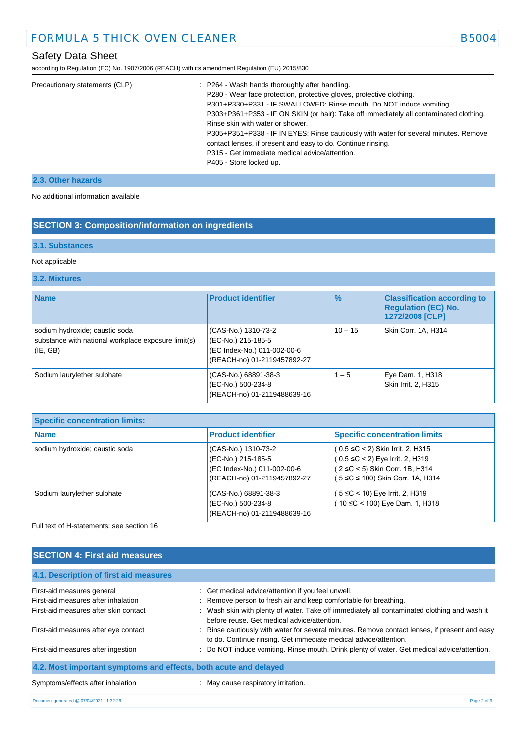# Safety Data Sheet

according to Regulation (EC) No. 1907/2006 (REACH) with its amendment Regulation (EU) 2015/830

| Precautionary statements (CLP) | : P264 - Wash hands thoroughly after handling.                                         |
|--------------------------------|----------------------------------------------------------------------------------------|
|                                | P280 - Wear face protection, protective gloves, protective clothing.                   |
|                                | P301+P330+P331 - IF SWALLOWED: Rinse mouth. Do NOT induce vomiting.                    |
|                                | P303+P361+P353 - IF ON SKIN (or hair): Take off immediately all contaminated clothing. |
|                                | Rinse skin with water or shower.                                                       |
|                                | P305+P351+P338 - IF IN EYES: Rinse cautiously with water for several minutes. Remove   |
|                                | contact lenses, if present and easy to do. Continue rinsing.                           |
|                                | P315 - Get immediate medical advice/attention.                                         |
|                                | P405 - Store locked up.                                                                |
|                                |                                                                                        |

## **2.3. Other hazards**

No additional information available

# **SECTION 3: Composition/information on ingredients**

### **3.1. Substances**

### Not applicable

### **3.2. Mixtures**

| <b>Name</b>                                                                                           | <b>Product identifier</b>                                                                               | $\%$      | <b>Classification according to</b><br><b>Regulation (EC) No.</b><br>1272/2008 [CLP] |
|-------------------------------------------------------------------------------------------------------|---------------------------------------------------------------------------------------------------------|-----------|-------------------------------------------------------------------------------------|
| sodium hydroxide; caustic soda<br>substance with national workplace exposure limit(s)<br>$ $ (IE, GB) | (CAS-No.) 1310-73-2<br>(EC-No.) 215-185-5<br>(EC Index-No.) 011-002-00-6<br>(REACH-no) 01-2119457892-27 | $10 - 15$ | Skin Corr. 1A, H314                                                                 |
| Sodium laurylether sulphate                                                                           | (CAS-No.) 68891-38-3<br>(EC-No.) 500-234-8<br>(REACH-no) 01-2119488639-16                               | $1 - 5$   | Eye Dam. 1, H318<br>Skin Irrit. 2, H315                                             |

| <b>Specific concentration limits:</b> |                                                                                                         |                                                                                                                                                       |
|---------------------------------------|---------------------------------------------------------------------------------------------------------|-------------------------------------------------------------------------------------------------------------------------------------------------------|
| <b>Name</b>                           | <b>Product identifier</b>                                                                               | <b>Specific concentration limits</b>                                                                                                                  |
| sodium hydroxide; caustic soda        | (CAS-No.) 1310-73-2<br>(EC-No.) 215-185-5<br>(EC Index-No.) 011-002-00-6<br>(REACH-no) 01-2119457892-27 | $(0.5 \leq C < 2)$ Skin Irrit. 2, H315<br>$(0.5 \le C < 2)$ Eye Irrit. 2, H319<br>(2 ≤C < 5) Skin Corr. 1B, H314<br>( 5 ≤C ≤ 100) Skin Corr. 1A, H314 |
| Sodium laurylether sulphate           | (CAS-No.) 68891-38-3<br>(EC-No.) 500-234-8<br>(REACH-no) 01-2119488639-16                               | ( 5 ≤C < 10) Eye Irrit. 2, H319<br>(10 ≤C < 100) Eye Dam. 1, H318                                                                                     |

Full text of H-statements: see section 16

| <b>SECTION 4: First aid measures</b>                              |                                                                                                                                                                   |  |  |
|-------------------------------------------------------------------|-------------------------------------------------------------------------------------------------------------------------------------------------------------------|--|--|
| 4.1. Description of first aid measures                            |                                                                                                                                                                   |  |  |
| First-aid measures general<br>First-aid measures after inhalation | : Get medical advice/attention if you feel unwell.<br>: Remove person to fresh air and keep comfortable for breathing.                                            |  |  |
| First-aid measures after skin contact                             | : Wash skin with plenty of water. Take off immediately all contaminated clothing and wash it<br>before reuse. Get medical advice/attention.                       |  |  |
| First-aid measures after eye contact                              | : Rinse cautiously with water for several minutes. Remove contact lenses, if present and easy<br>to do. Continue rinsing. Get immediate medical advice/attention. |  |  |
| First-aid measures after ingestion                                | : Do NOT induce vomiting. Rinse mouth. Drink plenty of water. Get medical advice/attention.                                                                       |  |  |
| 4.2. Most important symptoms and effects, both acute and delayed  |                                                                                                                                                                   |  |  |
| Symptoms/effects after inhalation                                 | : May cause respiratory irritation.                                                                                                                               |  |  |
| Document generated @ 07/04/2021 11:32:26                          | Page 2 of 9                                                                                                                                                       |  |  |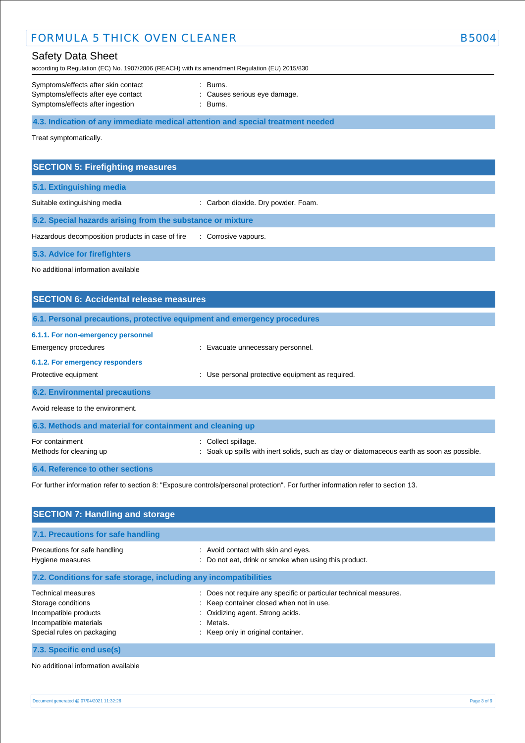# FORMULA 5 THICK OVEN CLEANER B5004 CLEANER

# Safety Data Sheet

according to Regulation (EC) No. 1907/2006 (REACH) with its amendment Regulation (EU) 2015/830

| Symptoms/effects after skin contact | : Burns.                     |
|-------------------------------------|------------------------------|
| Symptoms/effects after eye contact  | : Causes serious eye damage. |
| Symptoms/effects after ingestion    | : Burns.                     |

**4.3. Indication of any immediate medical attention and special treatment needed**

Treat symptomatically.

## **SECTION 5: Firefighting measures**

**5.1. Extinguishing media**

Suitable extinguishing media : Carbon dioxide. Dry powder. Foam.

**5.2. Special hazards arising from the substance or mixture**

Hazardous decomposition products in case of fire : Corrosive vapours.

**5.3. Advice for firefighters**

No additional information available

# **SECTION 6: Accidental release measures 6.1. Personal precautions, protective equipment and emergency procedures 6.1.1. For non-emergency personnel**  Emergency procedures **in the contract of the Contract Contract Evacuate unnecessary personnel. 6.1.2. For emergency responders**  Protective equipment **interval and the USE** of Use personal protective equipment as required. **6.2. Environmental precautions** Avoid release to the environment. **6.3. Methods and material for containment and cleaning up** For containment : Collect spillage. Methods for cleaning up example of the spills with inert solids, such as clay or diatomaceous earth as soon as possible.

**6.4. Reference to other sections**

For further information refer to section 8: "Exposure controls/personal protection". For further information refer to section 13.

| <b>SECTION 7: Handling and storage</b>                                                                                           |                                                                                                                                                                                                      |  |  |
|----------------------------------------------------------------------------------------------------------------------------------|------------------------------------------------------------------------------------------------------------------------------------------------------------------------------------------------------|--|--|
| 7.1. Precautions for safe handling                                                                                               |                                                                                                                                                                                                      |  |  |
| Precautions for safe handling<br>Hygiene measures                                                                                | : Avoid contact with skin and eyes.<br>: Do not eat, drink or smoke when using this product.                                                                                                         |  |  |
| 7.2. Conditions for safe storage, including any incompatibilities                                                                |                                                                                                                                                                                                      |  |  |
| <b>Technical measures</b><br>Storage conditions<br>Incompatible products<br>Incompatible materials<br>Special rules on packaging | : Does not require any specific or particular technical measures.<br>: Keep container closed when not in use.<br>: Oxidizing agent. Strong acids.<br>: Metals.<br>: Keep only in original container. |  |  |
| 7.3. Specific end use(s)                                                                                                         |                                                                                                                                                                                                      |  |  |

No additional information available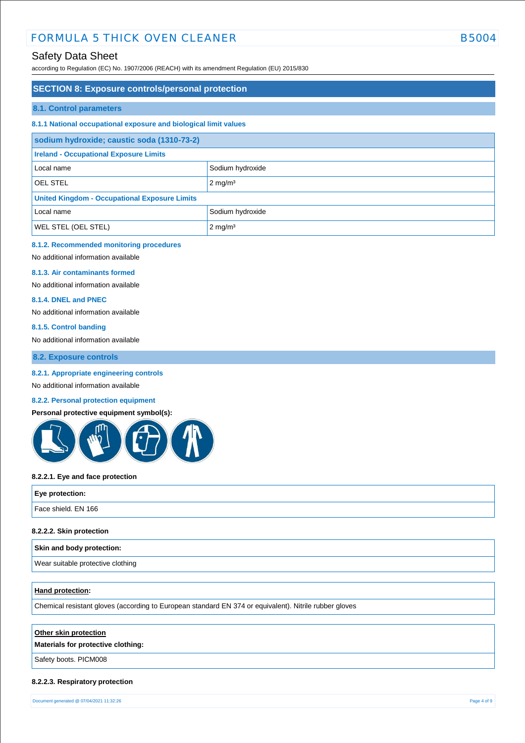# FORMULA 5 THICK OVEN CLEANER B5004 CLEANER

# Safety Data Sheet

according to Regulation (EC) No. 1907/2006 (REACH) with its amendment Regulation (EU) 2015/830

## **SECTION 8: Exposure controls/personal protection**

#### **8.1. Control parameters**

#### **8.1.1 National occupational exposure and biological limit values**

| sodium hydroxide; caustic soda (1310-73-2)           |                       |  |
|------------------------------------------------------|-----------------------|--|
| <b>Ireland - Occupational Exposure Limits</b>        |                       |  |
| Local name                                           | Sodium hydroxide      |  |
| <b>OEL STEL</b>                                      | $2 \text{ mg/m}^3$    |  |
| <b>United Kingdom - Occupational Exposure Limits</b> |                       |  |
| Local name                                           | Sodium hydroxide      |  |
| <b>WEL STEL (OEL STEL)</b>                           | $2$ mg/m <sup>3</sup> |  |

### **8.1.2. Recommended monitoring procedures**

No additional information available

#### **8.1.3. Air contaminants formed**

No additional information available

#### **8.1.4. DNEL and PNEC**

No additional information available

#### **8.1.5. Control banding**

No additional information available

### **8.2. Exposure controls**

#### **8.2.1. Appropriate engineering controls**

No additional information available

### **8.2.2. Personal protection equipment**

#### **Personal protective equipment symbol(s):**



#### **8.2.2.1. Eye and face protection**

| Eye protection:     |  |
|---------------------|--|
| Face shield. EN 166 |  |
|                     |  |

#### **8.2.2.2. Skin protection**

#### **Skin and body protection:**

Wear suitable protective clothing

#### **Hand protection:**

Chemical resistant gloves (according to European standard EN 374 or equivalent). Nitrile rubber gloves

### **Other skin protection**

### **Materials for protective clothing:**

Safety boots. PICM008

#### **8.2.2.3. Respiratory protection**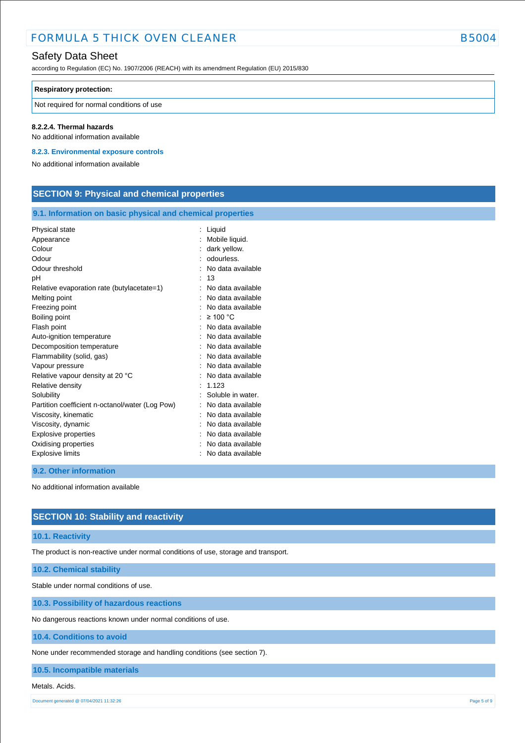# FORMULA 5 THICK OVEN CLEANER **EXAMPLE 2004** B5004

# Safety Data Sheet

according to Regulation (EC) No. 1907/2006 (REACH) with its amendment Regulation (EU) 2015/830

#### **Respiratory protection:**

Not required for normal conditions of use

#### **8.2.2.4. Thermal hazards**

No additional information available

**8.2.3. Environmental exposure controls** 

No additional information available

# **SECTION 9: Physical and chemical properties**

### **9.1. Information on basic physical and chemical properties**

| Physical state                                  | Liquid            |
|-------------------------------------------------|-------------------|
| Appearance                                      | Mobile liquid.    |
| Colour                                          | dark yellow.      |
| Odour                                           | odourless.        |
| Odour threshold                                 | No data available |
| рH                                              | 13                |
| Relative evaporation rate (butylacetate=1)      | No data available |
| Melting point                                   | No data available |
| Freezing point                                  | No data available |
| Boiling point                                   | $\geq 100$ °C     |
| Flash point                                     | No data available |
| Auto-ignition temperature                       | No data available |
| Decomposition temperature                       | No data available |
| Flammability (solid, gas)                       | No data available |
| Vapour pressure                                 | No data available |
| Relative vapour density at 20 °C                | No data available |
| Relative density                                | 1.123             |
| Solubility                                      | Soluble in water. |
| Partition coefficient n-octanol/water (Log Pow) | No data available |
| Viscosity, kinematic                            | No data available |
| Viscosity, dynamic                              | No data available |
| Explosive properties                            | No data available |
| Oxidising properties                            | No data available |
| <b>Explosive limits</b>                         | No data available |

#### **9.2. Other information**

No additional information available

## **SECTION 10: Stability and reactivity**

#### **10.1. Reactivity**

The product is non-reactive under normal conditions of use, storage and transport.

### **10.2. Chemical stability**

Stable under normal conditions of use.

**10.3. Possibility of hazardous reactions**

No dangerous reactions known under normal conditions of use.

#### **10.4. Conditions to avoid**

None under recommended storage and handling conditions (see section 7).

**10.5. Incompatible materials**

#### Metals. Acids.

Document generated @ 07/04/2021 11:32:26 Page 5 of 9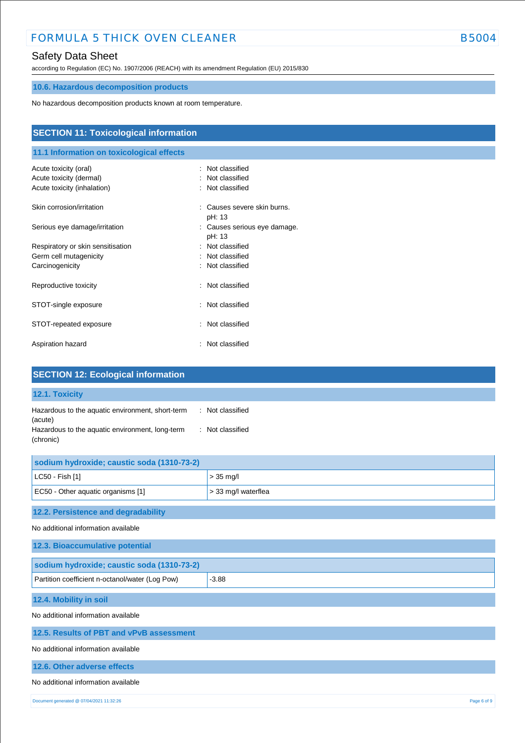# FORMULA 5 THICK OVEN CLEANER B5004

# Safety Data Sheet

according to Regulation (EC) No. 1907/2006 (REACH) with its amendment Regulation (EU) 2015/830

# **10.6. Hazardous decomposition products**

No hazardous decomposition products known at room temperature.

| <b>SECTION 11: Toxicological information</b><br>11.1 Information on toxicological effects |                                        |  |
|-------------------------------------------------------------------------------------------|----------------------------------------|--|
|                                                                                           |                                        |  |
| Acute toxicity (dermal)                                                                   | Not classified                         |  |
| Acute toxicity (inhalation)                                                               | : Not classified                       |  |
| Skin corrosion/irritation                                                                 | Causes severe skin burns.<br>pH: 13    |  |
| Serious eye damage/irritation                                                             | : Causes serious eye damage.<br>pH: 13 |  |
| Respiratory or skin sensitisation                                                         | : Not classified                       |  |
| Germ cell mutagenicity                                                                    | : Not classified                       |  |
| Carcinogenicity                                                                           | : Not classified                       |  |
| Reproductive toxicity                                                                     | : Not classified                       |  |
| STOT-single exposure                                                                      | : Not classified                       |  |
| STOT-repeated exposure                                                                    | Not classified<br>÷.                   |  |
| Aspiration hazard                                                                         | : Not classified                       |  |

| <b>SECTION 12: Ecological information</b>                                                                                   |                                      |
|-----------------------------------------------------------------------------------------------------------------------------|--------------------------------------|
| 12.1. Toxicity                                                                                                              |                                      |
| Hazardous to the aquatic environment, short-term<br>(acute)<br>Hazardous to the aquatic environment, long-term<br>(chronic) | : Not classified<br>: Not classified |
| sodium hydroxide; caustic soda (1310-73-2)                                                                                  |                                      |
| LC50 - Fish [1]                                                                                                             | $> 35$ mg/l                          |
| EC50 - Other aquatic organisms [1]                                                                                          | > 33 mg/l waterflea                  |
| 12.2. Persistence and degradability                                                                                         |                                      |
| No additional information available                                                                                         |                                      |
| 12.3. Bioaccumulative potential                                                                                             |                                      |
| sodium hydroxide; caustic soda (1310-73-2)                                                                                  |                                      |
| Partition coefficient n-octanol/water (Log Pow)                                                                             | $-3.88$                              |
| 12.4. Mobility in soil                                                                                                      |                                      |
| No additional information available                                                                                         |                                      |
| 12.5. Results of PBT and vPvB assessment                                                                                    |                                      |
| No additional information available                                                                                         |                                      |
| 12.6. Other adverse effects                                                                                                 |                                      |
| No additional information available                                                                                         |                                      |
| Document generated @ 07/04/2021 11:32:26                                                                                    | Page 6 of 9                          |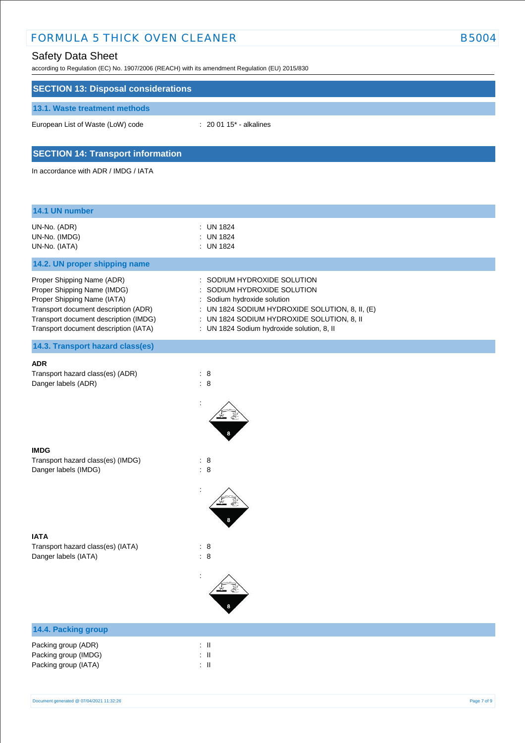# FORMULA 5 THICK OVEN CLEANER B5004

# Safety Data Sheet

| according to Regulation (EC) No. 1907/2006 (REACH) with its amendment Regulation (EU) 2015/830 |                                                                              |
|------------------------------------------------------------------------------------------------|------------------------------------------------------------------------------|
| <b>SECTION 13: Disposal considerations</b>                                                     |                                                                              |
| 13.1. Waste treatment methods                                                                  |                                                                              |
| European List of Waste (LoW) code                                                              | : 20 01 15* - alkalines                                                      |
| <b>SECTION 14: Transport information</b>                                                       |                                                                              |
| In accordance with ADR / IMDG / IATA                                                           |                                                                              |
|                                                                                                |                                                                              |
| 14.1 UN number                                                                                 |                                                                              |
| UN-No. (ADR)<br>UN-No. (IMDG)                                                                  | : UN 1824<br>: UN 1824                                                       |
| UN-No. (IATA)                                                                                  | : UN 1824                                                                    |
| 14.2. UN proper shipping name                                                                  |                                                                              |
| Proper Shipping Name (ADR)                                                                     | : SODIUM HYDROXIDE SOLUTION                                                  |
| Proper Shipping Name (IMDG)                                                                    | SODIUM HYDROXIDE SOLUTION                                                    |
| Proper Shipping Name (IATA)<br>Transport document description (ADR)                            | Sodium hydroxide solution<br>: UN 1824 SODIUM HYDROXIDE SOLUTION, 8, II, (E) |
| Transport document description (IMDG)                                                          | : UN 1824 SODIUM HYDROXIDE SOLUTION, 8, II                                   |
| Transport document description (IATA)                                                          | : UN 1824 Sodium hydroxide solution, 8, II                                   |
| 14.3. Transport hazard class(es)                                                               |                                                                              |
| <b>ADR</b>                                                                                     |                                                                              |
| Transport hazard class(es) (ADR)<br>Danger labels (ADR)                                        | : 8<br>$\therefore$ 8                                                        |
|                                                                                                |                                                                              |
|                                                                                                |                                                                              |
|                                                                                                |                                                                              |
|                                                                                                |                                                                              |
| <b>IMDG</b><br>Transport hazard class(es) (IMDG)                                               | : 8                                                                          |
| Danger labels (IMDG)                                                                           | : 8                                                                          |
|                                                                                                |                                                                              |
|                                                                                                |                                                                              |
|                                                                                                |                                                                              |
| <b>IATA</b>                                                                                    |                                                                              |
| Transport hazard class(es) (IATA)                                                              | $\therefore$ 8                                                               |
| Danger labels (IATA)                                                                           | : 8                                                                          |
|                                                                                                |                                                                              |
|                                                                                                |                                                                              |
|                                                                                                |                                                                              |
|                                                                                                |                                                                              |

| <b>14.4. Packing group</b>                                          |                    |  |  |
|---------------------------------------------------------------------|--------------------|--|--|
| Packing group (ADR)<br>Packing group (IMDG)<br>Packing group (IATA) | : II<br>: II<br>÷Ш |  |  |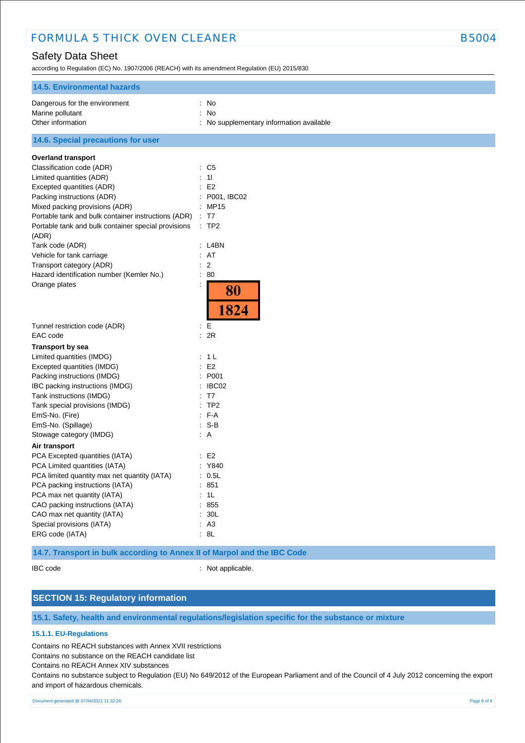# FORMULA 5 THICK OVEN CLEANER **EXAMPLE 2004** B5004

# Safety Data Sheet

according to Regulation (EC) No. 1907/2006 (REACH) with its amendment Regulation (EU) 2015/830

| <b>14.5. Environmental hazards</b>                  |                                            |
|-----------------------------------------------------|--------------------------------------------|
| Dangerous for the environment                       | No<br>÷                                    |
| Marine pollutant                                    | No<br>÷                                    |
| Other information                                   | No supplementary information available     |
| 14.6. Special precautions for user                  |                                            |
| <b>Overland transport</b>                           |                                            |
| Classification code (ADR)                           | : C5                                       |
| Limited quantities (ADR)                            | 11<br>÷                                    |
| Excepted quantities (ADR)                           | E <sub>2</sub><br>$\ddot{\cdot}$           |
| Packing instructions (ADR)                          | P001, IBC02                                |
| Mixed packing provisions (ADR)                      | MP15                                       |
| Portable tank and bulk container instructions (ADR) | T7                                         |
| Portable tank and bulk container special provisions | ÷<br>TP2                                   |
| (ADR)                                               |                                            |
| Tank code (ADR)                                     | $:$ L4BN                                   |
| Vehicle for tank carriage                           | AT<br>÷.                                   |
| Transport category (ADR)                            | $\overline{2}$<br>$\overline{\phantom{a}}$ |
| Hazard identification number (Kemler No.)           | Ì.<br>80                                   |
| Orange plates                                       | $\ddot{\phantom{a}}$                       |
|                                                     | 80<br>1824                                 |
| Tunnel restriction code (ADR)                       | $\ddot{\phantom{a}}$<br>Е                  |
| EAC code                                            | 2R<br>$\ddot{\phantom{a}}$                 |
| <b>Transport by sea</b>                             |                                            |
| Limited quantities (IMDG)                           | : 1L                                       |
| Excepted quantities (IMDG)                          | E <sub>2</sub><br>$\ddot{\phantom{a}}$     |
| Packing instructions (IMDG)                         | P001<br>÷                                  |
| IBC packing instructions (IMDG)                     | IBC02<br>÷                                 |
| Tank instructions (IMDG)                            | T <sub>7</sub><br>÷                        |
| Tank special provisions (IMDG)                      | TP <sub>2</sub>                            |
| EmS-No. (Fire)                                      | F-A<br>÷                                   |
| EmS-No. (Spillage)                                  | $: S-B$                                    |
| Stowage category (IMDG)                             | : A                                        |
|                                                     |                                            |
| Air transport<br>PCA Excepted quantities (IATA)     | E2                                         |
|                                                     | Y840<br>$\ddot{\phantom{a}}$               |
| PCA Limited quantities (IATA)                       | 0.5L<br>$\ddot{\phantom{a}}$               |
| PCA limited quantity max net quantity (IATA)        | 851                                        |
| PCA packing instructions (IATA)                     | 1L                                         |
| PCA max net quantity (IATA)                         | $\ddot{\phantom{a}}$                       |
| CAO packing instructions (IATA)                     | 855<br>÷                                   |
| CAO max net quantity (IATA)                         | 30L<br>$\ddot{\cdot}$                      |
| Special provisions (IATA)                           | A <sub>3</sub><br>÷.                       |
| ERG code (IATA)                                     | 8L                                         |

**14.7. Transport in bulk according to Annex II of Marpol and the IBC Code**

IBC code : Not applicable.

# **SECTION 15: Regulatory information**

**15.1. Safety, health and environmental regulations/legislation specific for the substance or mixture**

#### **15.1.1. EU-Regulations**

Contains no REACH substances with Annex XVII restrictions

Contains no substance on the REACH candidate list

Contains no REACH Annex XIV substances

Contains no substance subject to Regulation (EU) No 649/2012 of the European Parliament and of the Council of 4 July 2012 concerning the export and import of hazardous chemicals.